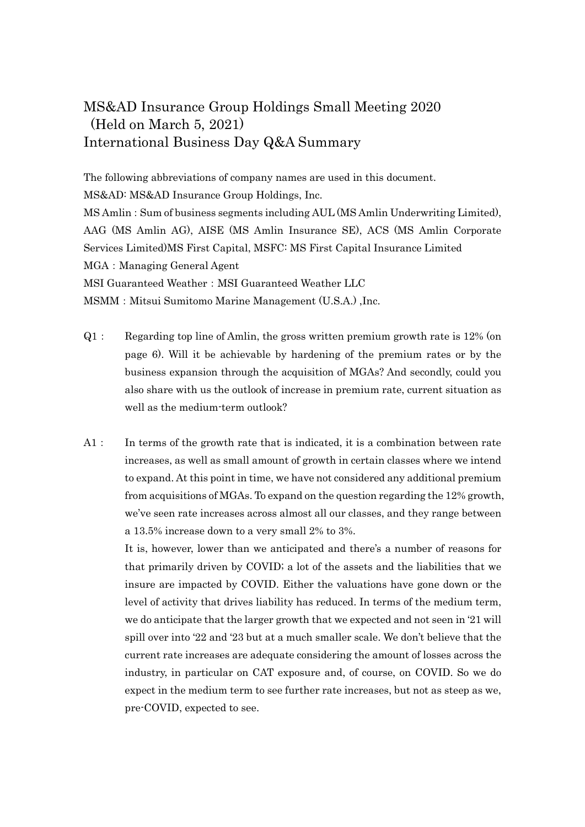## MS&AD Insurance Group Holdings Small Meeting 2020 (Held on March 5, 2021) International Business Day Q&A Summary

The following abbreviations of company names are used in this document. MS&AD: MS&AD Insurance Group Holdings, Inc. MS Amlin:Sum of business segments including AUL (MS Amlin Underwriting Limited), AAG (MS Amlin AG), AISE (MS Amlin Insurance SE), ACS (MS Amlin Corporate Services Limited)MS First Capital, MSFC: MS First Capital Insurance Limited MGA: Managing General Agent MSI Guaranteed Weather: MSI Guaranteed Weather LLC MSMM: Mitsui Sumitomo Marine Management (U.S.A.), Inc.

- Q1: Regarding top line of Amlin, the gross written premium growth rate is 12% (on page 6). Will it be achievable by hardening of the premium rates or by the business expansion through the acquisition of MGAs? And secondly, could you also share with us the outlook of increase in premium rate, current situation as well as the medium-term outlook?
- A1: In terms of the growth rate that is indicated, it is a combination between rate increases, as well as small amount of growth in certain classes where we intend to expand. At this point in time, we have not considered any additional premium from acquisitions of MGAs. To expand on the question regarding the 12% growth, we've seen rate increases across almost all our classes, and they range between a 13.5% increase down to a very small 2% to 3%.

It is, however, lower than we anticipated and there's a number of reasons for that primarily driven by COVID; a lot of the assets and the liabilities that we insure are impacted by COVID. Either the valuations have gone down or the level of activity that drives liability has reduced. In terms of the medium term, we do anticipate that the larger growth that we expected and not seen in '21 will spill over into '22 and '23 but at a much smaller scale. We don't believe that the current rate increases are adequate considering the amount of losses across the industry, in particular on CAT exposure and, of course, on COVID. So we do expect in the medium term to see further rate increases, but not as steep as we, pre-COVID, expected to see.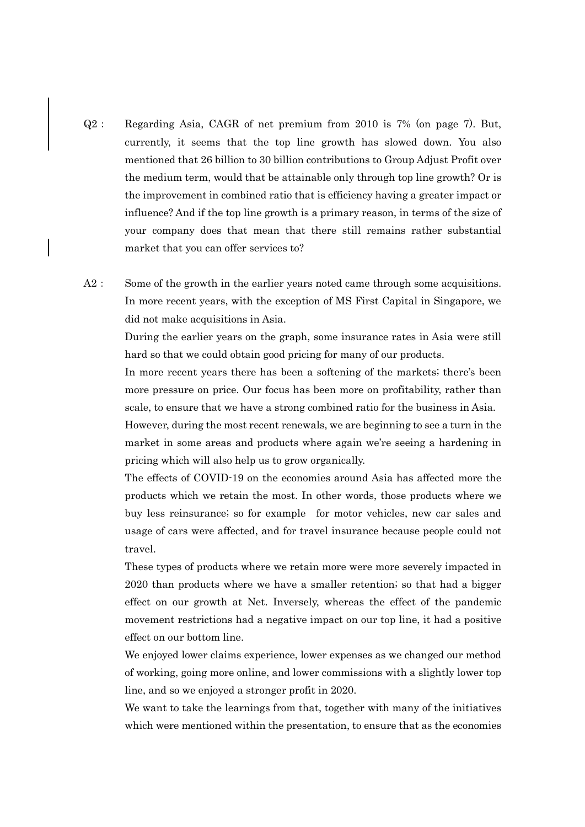- Q2: Regarding Asia, CAGR of net premium from 2010 is 7% (on page 7). But, currently, it seems that the top line growth has slowed down. You also mentioned that 26 billion to 30 billion contributions to Group Adjust Profit over the medium term, would that be attainable only through top line growth? Or is the improvement in combined ratio that is efficiency having a greater impact or influence? And if the top line growth is a primary reason, in terms of the size of your company does that mean that there still remains rather substantial market that you can offer services to?
- A2: Some of the growth in the earlier years noted came through some acquisitions. In more recent years, with the exception of MS First Capital in Singapore, we did not make acquisitions in Asia.

During the earlier years on the graph, some insurance rates in Asia were still hard so that we could obtain good pricing for many of our products.

In more recent years there has been a softening of the markets; there's been more pressure on price. Our focus has been more on profitability, rather than scale, to ensure that we have a strong combined ratio for the business in Asia.

However, during the most recent renewals, we are beginning to see a turn in the market in some areas and products where again we're seeing a hardening in pricing which will also help us to grow organically.

The effects of COVID-19 on the economies around Asia has affected more the products which we retain the most. In other words, those products where we buy less reinsurance; so for example for motor vehicles, new car sales and usage of cars were affected, and for travel insurance because people could not travel.

These types of products where we retain more were more severely impacted in 2020 than products where we have a smaller retention; so that had a bigger effect on our growth at Net. Inversely, whereas the effect of the pandemic movement restrictions had a negative impact on our top line, it had a positive effect on our bottom line.

We enjoyed lower claims experience, lower expenses as we changed our method of working, going more online, and lower commissions with a slightly lower top line, and so we enjoyed a stronger profit in 2020.

We want to take the learnings from that, together with many of the initiatives which were mentioned within the presentation, to ensure that as the economies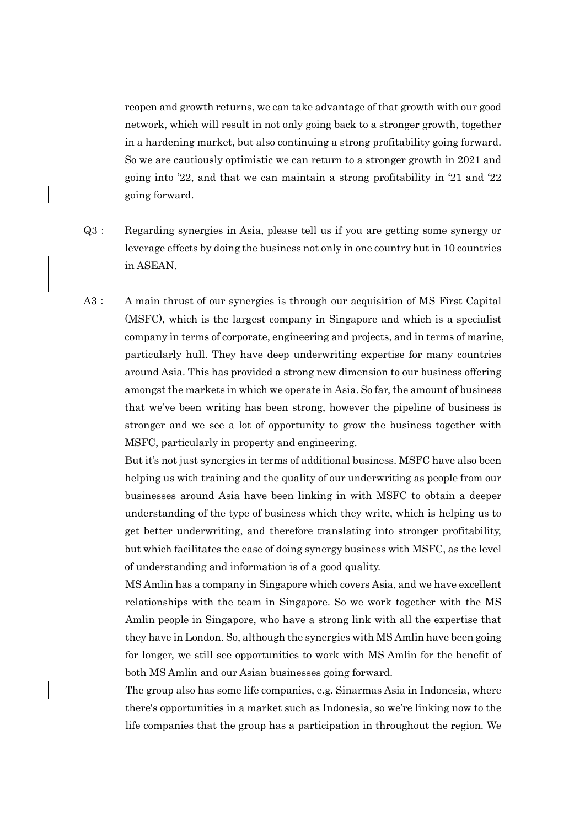reopen and growth returns, we can take advantage of that growth with our good network, which will result in not only going back to a stronger growth, together in a hardening market, but also continuing a strong profitability going forward. So we are cautiously optimistic we can return to a stronger growth in 2021 and going into '22, and that we can maintain a strong profitability in '21 and '22 going forward.

- Q3: Regarding synergies in Asia, please tell us if you are getting some synergy or leverage effects by doing the business not only in one country but in 10 countries in ASEAN.
- A3: A main thrust of our synergies is through our acquisition of MS First Capital (MSFC), which is the largest company in Singapore and which is a specialist company in terms of corporate, engineering and projects, and in terms of marine, particularly hull. They have deep underwriting expertise for many countries around Asia. This has provided a strong new dimension to our business offering amongst the markets in which we operate in Asia. So far, the amount of business that we've been writing has been strong, however the pipeline of business is stronger and we see a lot of opportunity to grow the business together with MSFC, particularly in property and engineering.

But it's not just synergies in terms of additional business. MSFC have also been helping us with training and the quality of our underwriting as people from our businesses around Asia have been linking in with MSFC to obtain a deeper understanding of the type of business which they write, which is helping us to get better underwriting, and therefore translating into stronger profitability, but which facilitates the ease of doing synergy business with MSFC, as the level of understanding and information is of a good quality.

MS Amlin has a company in Singapore which covers Asia, and we have excellent relationships with the team in Singapore. So we work together with the MS Amlin people in Singapore, who have a strong link with all the expertise that they have in London. So, although the synergies with MS Amlin have been going for longer, we still see opportunities to work with MS Amlin for the benefit of both MS Amlin and our Asian businesses going forward.

The group also has some life companies, e.g. Sinarmas Asia in Indonesia, where there's opportunities in a market such as Indonesia, so we're linking now to the life companies that the group has a participation in throughout the region. We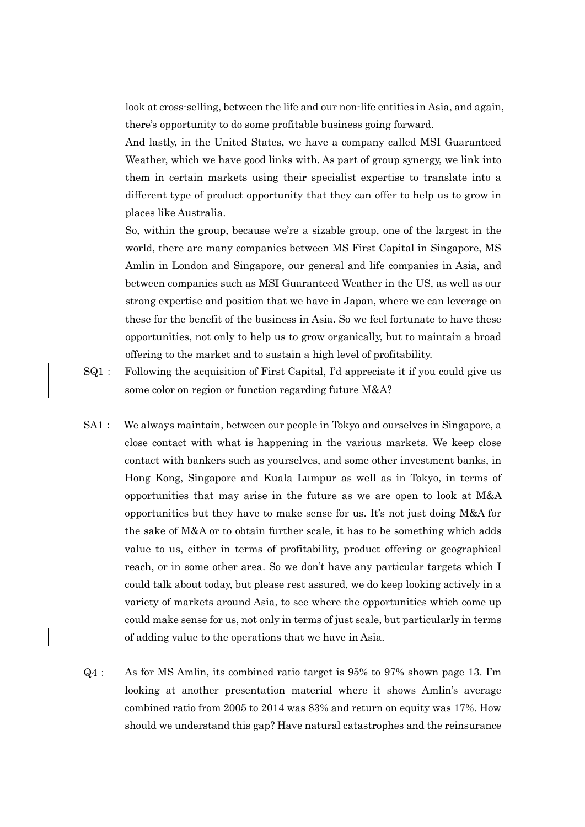look at cross-selling, between the life and our non-life entities in Asia, and again, there's opportunity to do some profitable business going forward.

And lastly, in the United States, we have a company called MSI Guaranteed Weather, which we have good links with. As part of group synergy, we link into them in certain markets using their specialist expertise to translate into a different type of product opportunity that they can offer to help us to grow in places like Australia.

So, within the group, because we're a sizable group, one of the largest in the world, there are many companies between MS First Capital in Singapore, MS Amlin in London and Singapore, our general and life companies in Asia, and between companies such as MSI Guaranteed Weather in the US, as well as our strong expertise and position that we have in Japan, where we can leverage on these for the benefit of the business in Asia. So we feel fortunate to have these opportunities, not only to help us to grow organically, but to maintain a broad offering to the market and to sustain a high level of profitability.

- $SQ1:$  Following the acquisition of First Capital, I'd appreciate it if you could give us some color on region or function regarding future M&A?
- SA1: We always maintain, between our people in Tokyo and ourselves in Singapore, a close contact with what is happening in the various markets. We keep close contact with bankers such as yourselves, and some other investment banks, in Hong Kong, Singapore and Kuala Lumpur as well as in Tokyo, in terms of opportunities that may arise in the future as we are open to look at M&A opportunities but they have to make sense for us. It's not just doing M&A for the sake of M&A or to obtain further scale, it has to be something which adds value to us, either in terms of profitability, product offering or geographical reach, or in some other area. So we don't have any particular targets which I could talk about today, but please rest assured, we do keep looking actively in a variety of markets around Asia, to see where the opportunities which come up could make sense for us, not only in terms of just scale, but particularly in terms of adding value to the operations that we have in Asia.
- Q4: As for MS Amlin, its combined ratio target is 95% to 97% shown page 13. I'm looking at another presentation material where it shows Amlin's average combined ratio from 2005 to 2014 was 83% and return on equity was 17%. How should we understand this gap? Have natural catastrophes and the reinsurance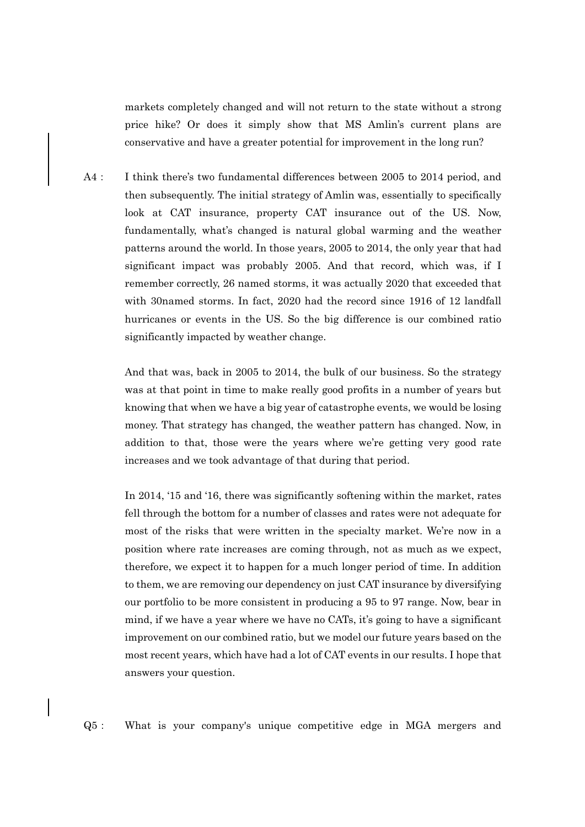markets completely changed and will not return to the state without a strong price hike? Or does it simply show that MS Amlin's current plans are conservative and have a greater potential for improvement in the long run?

A4: I think there's two fundamental differences between 2005 to 2014 period, and then subsequently. The initial strategy of Amlin was, essentially to specifically look at CAT insurance, property CAT insurance out of the US. Now, fundamentally, what's changed is natural global warming and the weather patterns around the world. In those years, 2005 to 2014, the only year that had significant impact was probably 2005. And that record, which was, if I remember correctly, 26 named storms, it was actually 2020 that exceeded that with 30named storms. In fact, 2020 had the record since 1916 of 12 landfall hurricanes or events in the US. So the big difference is our combined ratio significantly impacted by weather change.

> And that was, back in 2005 to 2014, the bulk of our business. So the strategy was at that point in time to make really good profits in a number of years but knowing that when we have a big year of catastrophe events, we would be losing money. That strategy has changed, the weather pattern has changed. Now, in addition to that, those were the years where we're getting very good rate increases and we took advantage of that during that period.

> In 2014, '15 and '16, there was significantly softening within the market, rates fell through the bottom for a number of classes and rates were not adequate for most of the risks that were written in the specialty market. We're now in a position where rate increases are coming through, not as much as we expect, therefore, we expect it to happen for a much longer period of time. In addition to them, we are removing our dependency on just CAT insurance by diversifying our portfolio to be more consistent in producing a 95 to 97 range. Now, bear in mind, if we have a year where we have no CATs, it's going to have a significant improvement on our combined ratio, but we model our future years based on the most recent years, which have had a lot of CAT events in our results. I hope that answers your question.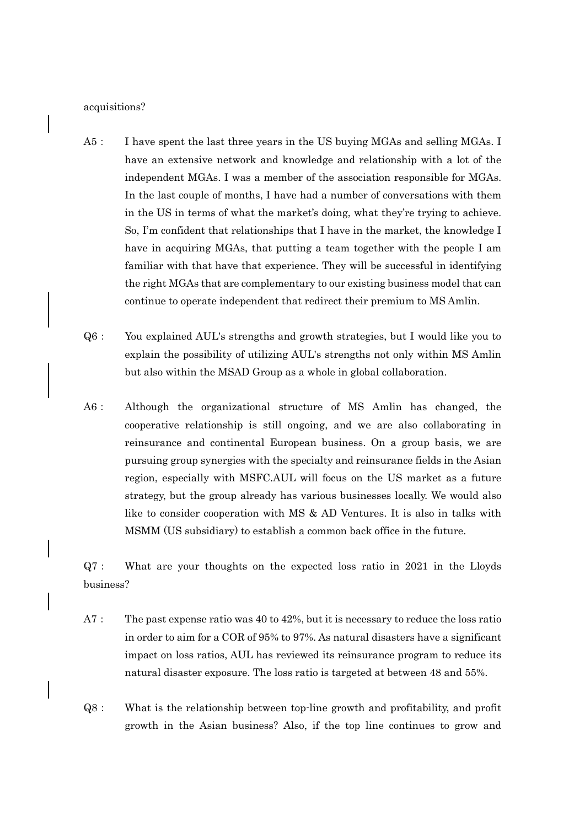## acquisitions?

- A5: I have spent the last three years in the US buying MGAs and selling MGAs. I have an extensive network and knowledge and relationship with a lot of the independent MGAs. I was a member of the association responsible for MGAs. In the last couple of months, I have had a number of conversations with them in the US in terms of what the market's doing, what they're trying to achieve. So, I'm confident that relationships that I have in the market, the knowledge I have in acquiring MGAs, that putting a team together with the people I am familiar with that have that experience. They will be successful in identifying the right MGAs that are complementary to our existing business model that can continue to operate independent that redirect their premium to MS Amlin.
- Q6: You explained AUL's strengths and growth strategies, but I would like you to explain the possibility of utilizing AUL's strengths not only within MS Amlin but also within the MSAD Group as a whole in global collaboration.
- A6: Although the organizational structure of MS Amlin has changed, the cooperative relationship is still ongoing, and we are also collaborating in reinsurance and continental European business. On a group basis, we are pursuing group synergies with the specialty and reinsurance fields in the Asian region, especially with MSFC.AUL will focus on the US market as a future strategy, but the group already has various businesses locally. We would also like to consider cooperation with MS & AD Ventures. It is also in talks with MSMM (US subsidiary) to establish a common back office in the future.

Q7: What are your thoughts on the expected loss ratio in 2021 in the Lloyds business?

- A7: The past expense ratio was 40 to 42%, but it is necessary to reduce the loss ratio in order to aim for a COR of 95% to 97%. As natural disasters have a significant impact on loss ratios, AUL has reviewed its reinsurance program to reduce its natural disaster exposure. The loss ratio is targeted at between 48 and 55%.
- Q8: What is the relationship between top-line growth and profitability, and profit growth in the Asian business? Also, if the top line continues to grow and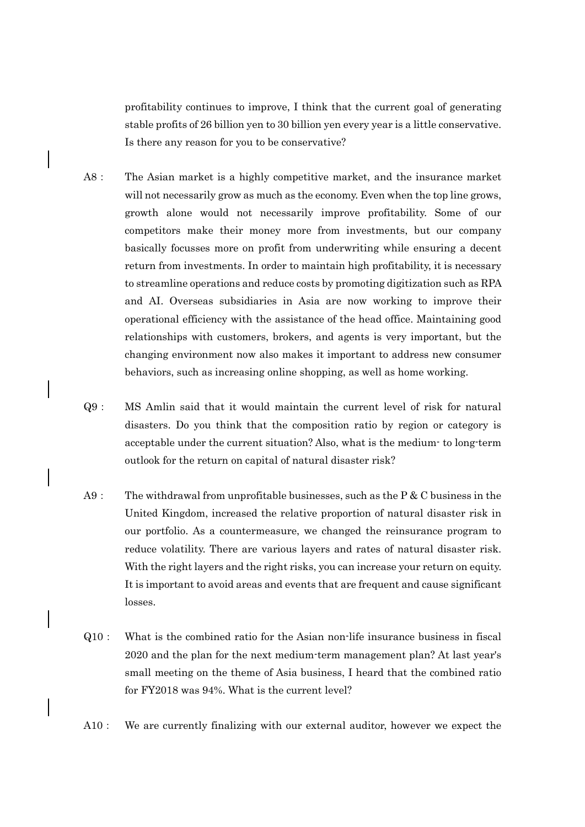profitability continues to improve, I think that the current goal of generating stable profits of 26 billion yen to 30 billion yen every year is a little conservative. Is there any reason for you to be conservative?

- A8: The Asian market is a highly competitive market, and the insurance market will not necessarily grow as much as the economy. Even when the top line grows, growth alone would not necessarily improve profitability. Some of our competitors make their money more from investments, but our company basically focusses more on profit from underwriting while ensuring a decent return from investments. In order to maintain high profitability, it is necessary to streamline operations and reduce costs by promoting digitization such as RPA and AI. Overseas subsidiaries in Asia are now working to improve their operational efficiency with the assistance of the head office. Maintaining good relationships with customers, brokers, and agents is very important, but the changing environment now also makes it important to address new consumer behaviors, such as increasing online shopping, as well as home working.
- Q9: MS Amlin said that it would maintain the current level of risk for natural disasters. Do you think that the composition ratio by region or category is acceptable under the current situation? Also, what is the medium- to long-term outlook for the return on capital of natural disaster risk?
- A9: The withdrawal from unprofitable businesses, such as the P  $&$  C business in the United Kingdom, increased the relative proportion of natural disaster risk in our portfolio. As a countermeasure, we changed the reinsurance program to reduce volatility. There are various layers and rates of natural disaster risk. With the right layers and the right risks, you can increase your return on equity. It is important to avoid areas and events that are frequent and cause significant losses.
- Q10: What is the combined ratio for the Asian non-life insurance business in fiscal 2020 and the plan for the next medium-term management plan? At last year's small meeting on the theme of Asia business, I heard that the combined ratio for FY2018 was 94%. What is the current level?
- A10: We are currently finalizing with our external auditor, however we expect the